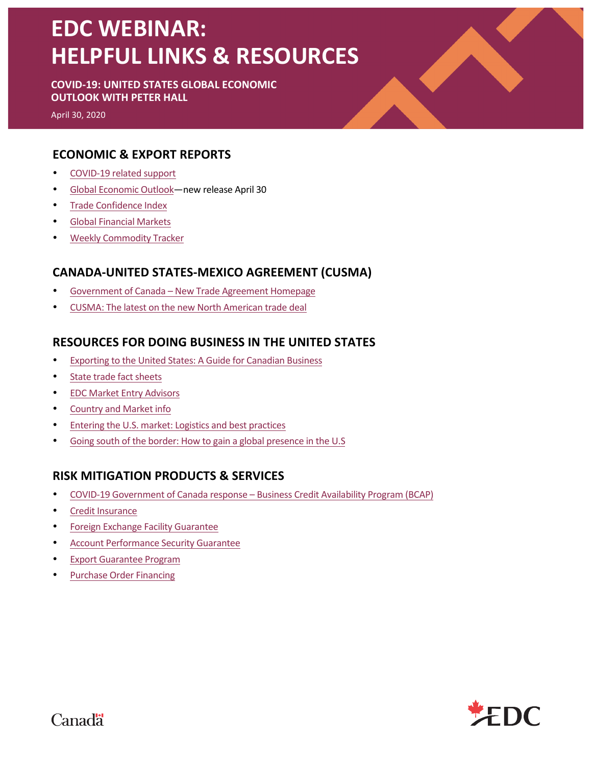# **EDC WEBINAR: HELPFUL LINKS & RESOURCES**

#### **COVID-19: UNITED STATES GLOBAL ECONOMIC OUTLOOK WITH PETER HALL**

April 30, 2020

## **ECONOMIC & EXPORT REPORTS**

- COVID-19 related support
- Global Economic Outlook—new release April 30
- Trade Confidence Index
- Global Financial Markets
- Weekly Commodity Tracker

# **CANADA-UNITED STATES-MEXICO AGREEMENT (CUSMA)**

- Government of Canada New Trade Agreement Homepage
- CUSMA: The latest on the new North American trade deal

## **RESOURCES FOR DOING BUSINESS IN THE UNITED STATES**

- Exporting to the United States: A Guide for Canadian Business
- State trade fact sheets
- EDC Market Entry Advisors
- Country and Market info
- Entering the U.S. market: Logistics and best practices
- Going south of the border: How to gain a global presence in the U.S

#### **RISK MITIGATION PRODUCTS & SERVICES**

- COVID-19 Government of Canada response Business Credit Availability Program (BCAP)
- Credit Insurance
- Foreign Exchange Facility Guarantee
- Account Performance Security Guarantee
- **Export Guarantee Program**
- Purchase Order Financing



**Canadä**